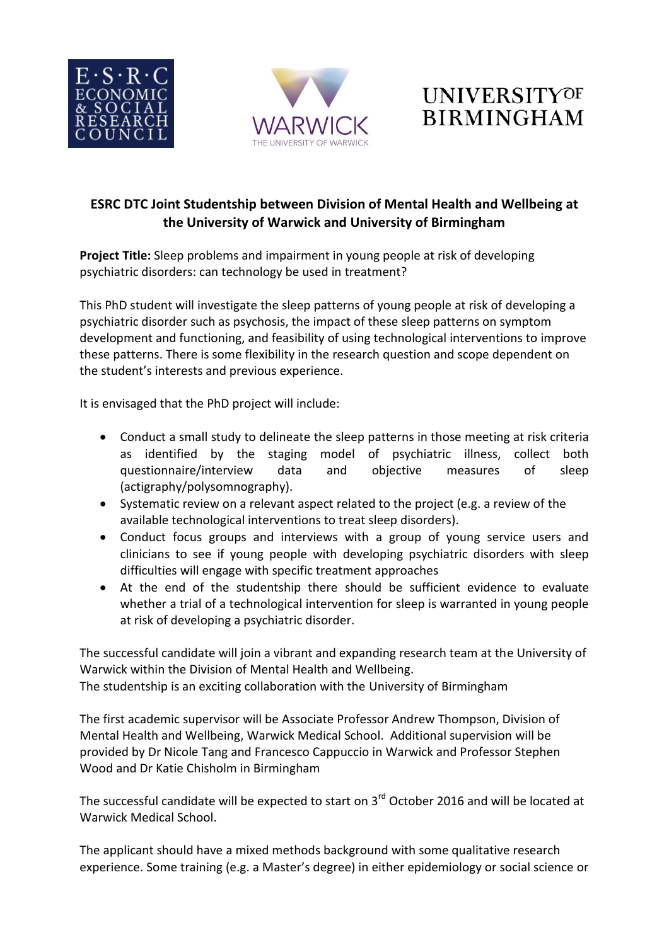





## **ESRC DTC Joint Studentship between Division of Mental Health and Wellbeing at the University of Warwick and University of Birmingham**

**Project Title:** Sleep problems and impairment in young people at risk of developing psychiatric disorders: can technology be used in treatment?

This PhD student will investigate the sleep patterns of young people at risk of developing a psychiatric disorder such as psychosis, the impact of these sleep patterns on symptom development and functioning, and feasibility of using technological interventions to improve these patterns. There is some flexibility in the research question and scope dependent on the student's interests and previous experience.

It is envisaged that the PhD project will include:

- Conduct a small study to delineate the sleep patterns in those meeting at risk criteria as identified by the staging model of psychiatric illness, collect both questionnaire/interview data and objective measures of sleep (actigraphy/polysomnography).
- Systematic review on a relevant aspect related to the project (e.g. a review of the available technological interventions to treat sleep disorders).
- Conduct focus groups and interviews with a group of young service users and clinicians to see if young people with developing psychiatric disorders with sleep difficulties will engage with specific treatment approaches
- At the end of the studentship there should be sufficient evidence to evaluate whether a trial of a technological intervention for sleep is warranted in young people at risk of developing a psychiatric disorder.

The successful candidate will join a vibrant and expanding research team at the University of Warwick within the Division of Mental Health and Wellbeing.

The studentship is an exciting collaboration with the University of Birmingham

The first academic supervisor will be Associate Professor Andrew Thompson, Division of Mental Health and Wellbeing, Warwick Medical School. Additional supervision will be provided by Dr Nicole Tang and Francesco Cappuccio in Warwick and Professor Stephen Wood and Dr Katie Chisholm in Birmingham

The successful candidate will be expected to start on  $3^{rd}$  October 2016 and will be located at Warwick Medical School.

The applicant should have a mixed methods background with some qualitative research experience. Some training (e.g. a Master's degree) in either epidemiology or social science or